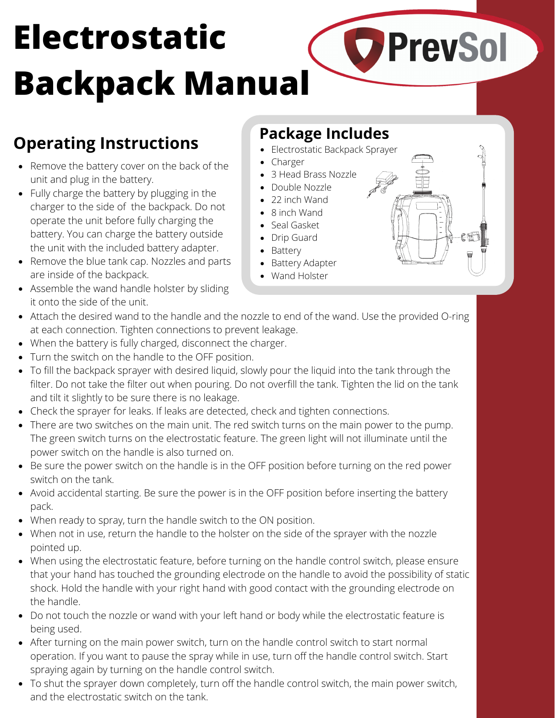# **Electrostatic Backpack Manual**

## **Operating Instructions**

- Remove the battery cover on the back of the unit and plug in the battery.
- Fully charge the battery by plugging in the charger to the side of the backpack. Do not operate the unit before fully charging the battery. You can charge the battery outside the unit with the included battery adapter.
- Remove the blue tank cap. Nozzles and parts are inside of the backpack.
- Assemble the wand handle holster by sliding it onto the side of the unit.

#### **Package Includes**

• Electrostatic Backpack Sprayer

**O** PrevSol

- Charger
- 3 Head Brass Nozzle
- Double Nozzle
- 22 inch Wand 8 inch Wand
- Seal Gasket
- Drip Guard
- 
- Battery • Battery Adapter
- Wand Holster
- 



- When the battery is fully charged, disconnect the charger.
- Turn the switch on the handle to the OFF position.
- To fill the backpack sprayer with desired liquid, slowly pour the liquid into the tank through the filter. Do not take the filter out when pouring. Do not overfill the tank. Tighten the lid on the tank and tilt it slightly to be sure there is no leakage.
- Check the sprayer for leaks. If leaks are detected, check and tighten connections.
- There are two switches on the main unit. The red switch turns on the main power to the pump. The green switch turns on the electrostatic feature. The green light will not illuminate until the power switch on the handle is also turned on.
- Be sure the power switch on the handle is in the OFF position before turning on the red power switch on the tank.
- Avoid accidental starting. Be sure the power is in the OFF position before inserting the battery pack.
- When ready to spray, turn the handle switch to the ON position.
- When not in use, return the handle to the holster on the side of the sprayer with the nozzle pointed up.
- When using the electrostatic feature, before turning on the handle control switch, please ensure that your hand has touched the grounding electrode on the handle to avoid the possibility of static shock. Hold the handle with your right hand with good contact with the grounding electrode on the handle.
- Do not touch the nozzle or wand with your left hand or body while the electrostatic feature is being used.
- After turning on the main power switch, turn on the handle control switch to start normal operation. If you want to pause the spray while in use, turn off the handle control switch. Start spraying again by turning on the handle control switch.
- To shut the sprayer down completely, turn off the handle control switch, the main power switch, and the electrostatic switch on the tank.